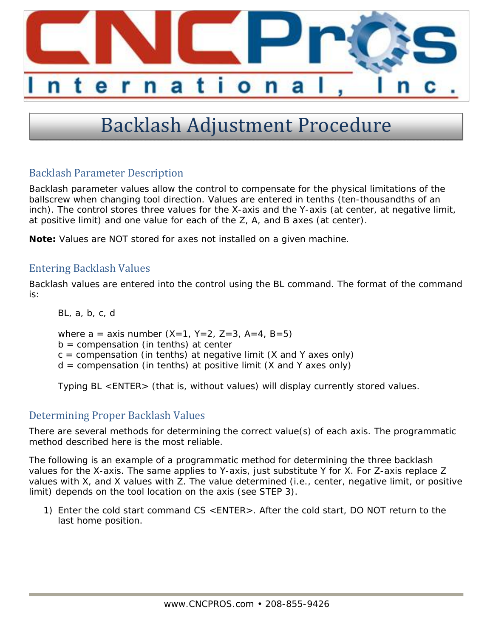

## Backlash Adjustment Procedure

## Backlash Parameter Description

Backlash parameter values allow the control to compensate for the physical limitations of the ballscrew when changing tool direction. Values are entered in tenths (ten-thousandths of an inch). The control stores three values for the X-axis and the Y-axis (at center, at negative limit, at positive limit) and one value for each of the Z, A, and B axes (at center).

**Note:** Values are NOT stored for axes not installed on a given machine.

## **Entering Backlash Values**

Backlash values are entered into the control using the BL command. The format of the command is:

BL, a, b, c, d

where  $a = axis$  number  $(X=1, Y=2, Z=3, A=4, B=5)$ 

 $b =$  compensation (in tenths) at center

 $c =$  compensation (in tenths) at negative limit (X and Y axes only)

 $d =$  compensation (in tenths) at positive limit (X and Y axes only)

Typing BL <ENTER> (that is, without values) will display currently stored values.

## Determining Proper Backlash Values

There are several methods for determining the correct value(s) of each axis. The programmatic method described here is the most reliable.

The following is an example of a programmatic method for determining the three backlash values for the X-axis. The same applies to Y-axis, just substitute Y for X. For Z-axis replace Z values with X, and X values with Z. The value determined (i.e., center, negative limit, or positive limit) depends on the tool location on the axis (see STEP 3).

1) Enter the cold start command CS <ENTER>. After the cold start, DO NOT return to the last home position.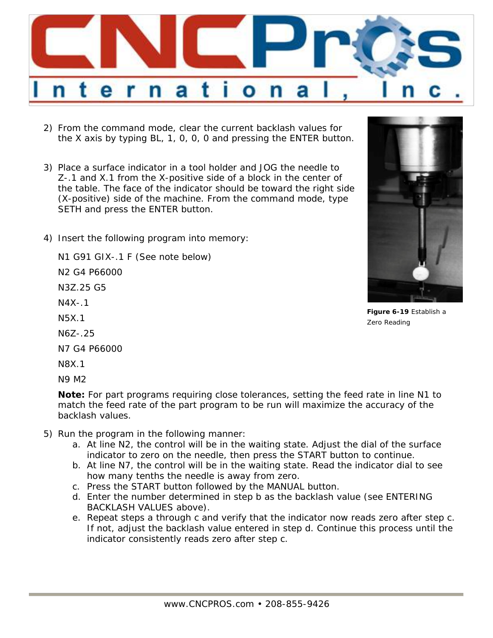

- 2) From the command mode, clear the current backlash values for the X axis by typing BL, 1, 0, 0, 0 and pressing the ENTER button.
- 3) Place a surface indicator in a tool holder and JOG the needle to Z-.1 and X.1 from the X-positive side of a block in the center of the table. The face of the indicator should be toward the right side (X-positive) side of the machine. From the command mode, type SETH and press the ENTER button.
- 4) Insert the following program into memory:

N1 G91 GIX-.1 F (See note below) N2 G4 P66000

N3Z.25 G5

 $N4X-1$ 

- N5X.1
- N6Z-.25

N7 G4 P66000

N8X.1

N9 M2

**Note:** For part programs requiring close tolerances, setting the feed rate in line N1 to match the feed rate of the part program to be run will maximize the accuracy of the backlash values.

- 5) Run the program in the following manner:
	- a. At line N2, the control will be in the waiting state. Adjust the dial of the surface indicator to zero on the needle, then press the START button to continue.
	- b. At line N7, the control will be in the waiting state. Read the indicator dial to see how many tenths the needle is away from zero.
	- c. Press the START button followed by the MANUAL button.
	- d. Enter the number determined in step b as the backlash value (see ENTERING BACKLASH VALUES above).
	- e. Repeat steps a through c and verify that the indicator now reads zero after step c. If not, adjust the backlash value entered in step d. Continue this process until the indicator consistently reads zero after step c.



**Figure 6-19** Establish a Zero Reading